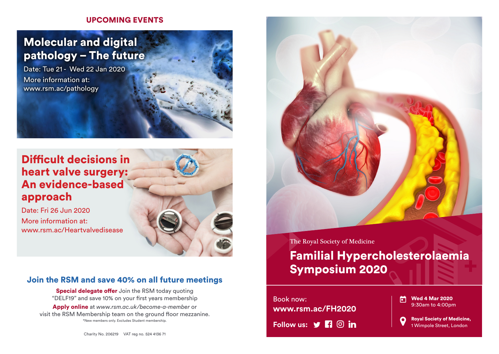### UPCOMING EVENTS

# Molecular and digital pathology – The future

Date: Tue 21 - Wed 22 Jan 2020 More information at: www.rsm.ac/pathology

## Difficult decisions in heart valve surgery: An evidence-based approach

Date: Fri 26 Jun 2020 More information at: www.rsm.ac/Heartvalvedisease



### Join the RSM and save 40% on all future meetings

**Special delegate offer** Join the RSM today quoting "DELF19" and save 10% on your first years membership

Apply online at *www.rsm.ac.uk/become-a-member* or visit the RSM Membership team on the ground floor mezzanine. \*New members only. Excludes Student membership.

Charity No. 206219 VAT reg no. 524 4136 71



The Royal Society of Medicine

# Familial Hypercholesterolaemia Symposium 2020

**Follow us:**  $\mathbf{y}$  **<b>Fi**  $\odot$  **in** Book now: **www.rsm.ac/FH2020**

Wed 4 Mar 2020 m 9:30am to 4:00pm

Royal Society of Medicine, O 1 Wimpole Street, London